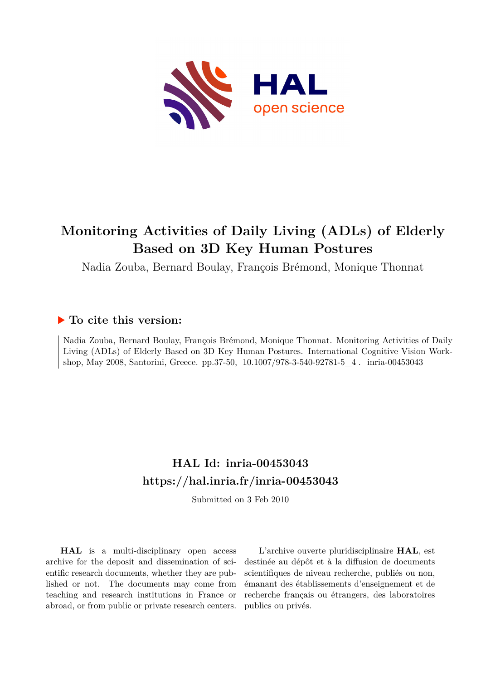

# **Monitoring Activities of Daily Living (ADLs) of Elderly Based on 3D Key Human Postures**

Nadia Zouba, Bernard Boulay, François Brémond, Monique Thonnat

# **To cite this version:**

Nadia Zouba, Bernard Boulay, François Brémond, Monique Thonnat. Monitoring Activities of Daily Living (ADLs) of Elderly Based on 3D Key Human Postures. International Cognitive Vision Workshop, May 2008, Santorini, Greece. pp.37-50, 10.1007/978-3-540-92781-5\_4. inria-00453043

# **HAL Id: inria-00453043 <https://hal.inria.fr/inria-00453043>**

Submitted on 3 Feb 2010

**HAL** is a multi-disciplinary open access archive for the deposit and dissemination of scientific research documents, whether they are published or not. The documents may come from teaching and research institutions in France or abroad, or from public or private research centers.

L'archive ouverte pluridisciplinaire **HAL**, est destinée au dépôt et à la diffusion de documents scientifiques de niveau recherche, publiés ou non, émanant des établissements d'enseignement et de recherche français ou étrangers, des laboratoires publics ou privés.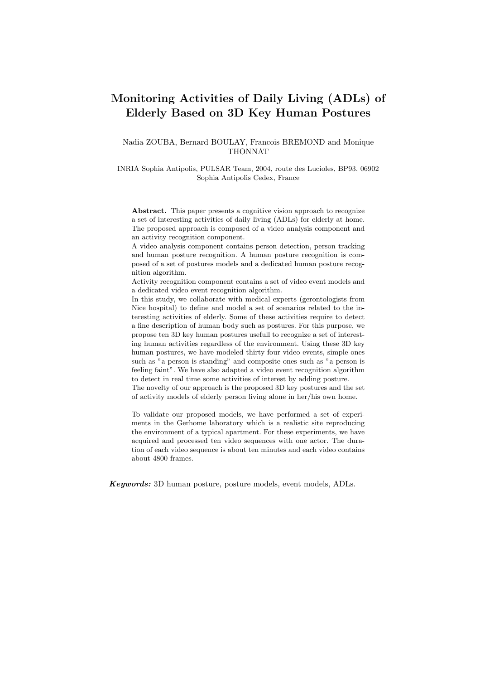# Monitoring Activities of Daily Living (ADLs) of Elderly Based on 3D Key Human Postures

## Nadia ZOUBA, Bernard BOULAY, Francois BREMOND and Monique THONNAT

INRIA Sophia Antipolis, PULSAR Team, 2004, route des Lucioles, BP93, 06902 Sophia Antipolis Cedex, France

Abstract. This paper presents a cognitive vision approach to recognize a set of interesting activities of daily living (ADLs) for elderly at home. The proposed approach is composed of a video analysis component and an activity recognition component.

A video analysis component contains person detection, person tracking and human posture recognition. A human posture recognition is composed of a set of postures models and a dedicated human posture recognition algorithm.

Activity recognition component contains a set of video event models and a dedicated video event recognition algorithm.

In this study, we collaborate with medical experts (gerontologists from Nice hospital) to define and model a set of scenarios related to the interesting activities of elderly. Some of these activities require to detect a fine description of human body such as postures. For this purpose, we propose ten 3D key human postures usefull to recognize a set of interesting human activities regardless of the environment. Using these 3D key human postures, we have modeled thirty four video events, simple ones such as "a person is standing" and composite ones such as "a person is feeling faint". We have also adapted a video event recognition algorithm to detect in real time some activities of interest by adding posture.

The novelty of our approach is the proposed 3D key postures and the set of activity models of elderly person living alone in her/his own home.

To validate our proposed models, we have performed a set of experiments in the Gerhome laboratory which is a realistic site reproducing the environment of a typical apartment. For these experiments, we have acquired and processed ten video sequences with one actor. The duration of each video sequence is about ten minutes and each video contains about 4800 frames.

Keywords: 3D human posture, posture models, event models, ADLs.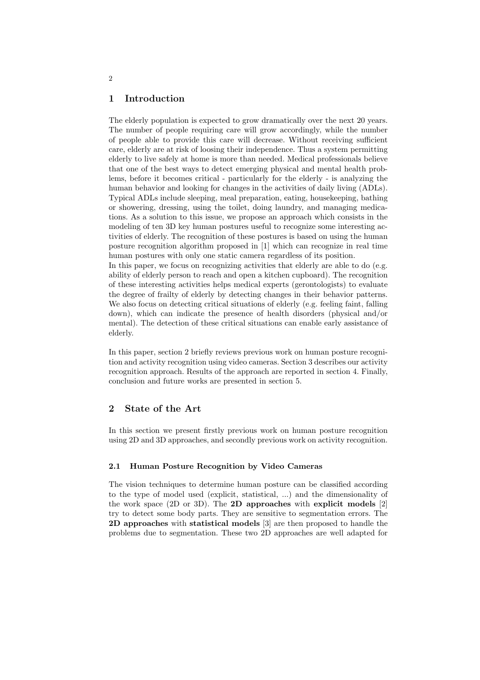## 1 Introduction

The elderly population is expected to grow dramatically over the next 20 years. The number of people requiring care will grow accordingly, while the number of people able to provide this care will decrease. Without receiving sufficient care, elderly are at risk of loosing their independence. Thus a system permitting elderly to live safely at home is more than needed. Medical professionals believe that one of the best ways to detect emerging physical and mental health problems, before it becomes critical - particularly for the elderly - is analyzing the human behavior and looking for changes in the activities of daily living (ADLs). Typical ADLs include sleeping, meal preparation, eating, housekeeping, bathing or showering, dressing, using the toilet, doing laundry, and managing medications. As a solution to this issue, we propose an approach which consists in the modeling of ten 3D key human postures useful to recognize some interesting activities of elderly. The recognition of these postures is based on using the human posture recognition algorithm proposed in [1] which can recognize in real time human postures with only one static camera regardless of its position. In this paper, we focus on recognizing activities that elderly are able to do (e.g. ability of elderly person to reach and open a kitchen cupboard). The recognition of these interesting activities helps medical experts (gerontologists) to evaluate the degree of frailty of elderly by detecting changes in their behavior patterns.

We also focus on detecting critical situations of elderly (e.g. feeling faint, falling down), which can indicate the presence of health disorders (physical and/or mental). The detection of these critical situations can enable early assistance of elderly.

In this paper, section 2 briefly reviews previous work on human posture recognition and activity recognition using video cameras. Section 3 describes our activity recognition approach. Results of the approach are reported in section 4. Finally, conclusion and future works are presented in section 5.

## 2 State of the Art

In this section we present firstly previous work on human posture recognition using 2D and 3D approaches, and secondly previous work on activity recognition.

#### 2.1 Human Posture Recognition by Video Cameras

The vision techniques to determine human posture can be classified according to the type of model used (explicit, statistical, ...) and the dimensionality of the work space (2D or 3D). The **2D approaches** with explicit models  $[2]$ try to detect some body parts. They are sensitive to segmentation errors. The 2D approaches with statistical models [3] are then proposed to handle the problems due to segmentation. These two 2D approaches are well adapted for

2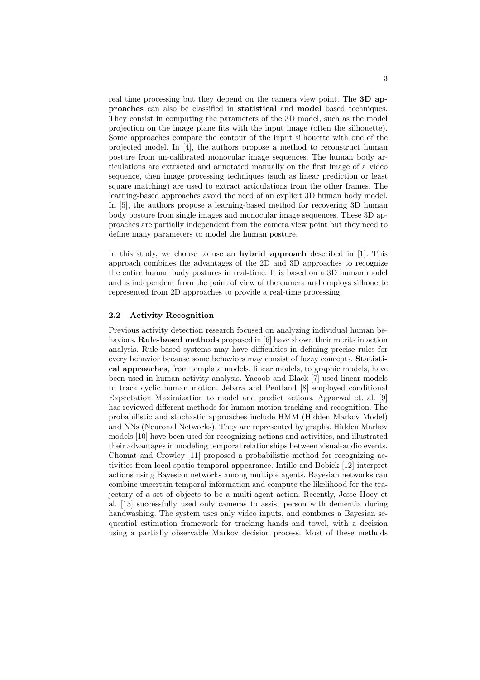real time processing but they depend on the camera view point. The **3D** approaches can also be classified in statistical and model based techniques. They consist in computing the parameters of the 3D model, such as the model projection on the image plane fits with the input image (often the silhouette). Some approaches compare the contour of the input silhouette with one of the projected model. In [4], the authors propose a method to reconstruct human posture from un-calibrated monocular image sequences. The human body articulations are extracted and annotated manually on the first image of a video sequence, then image processing techniques (such as linear prediction or least square matching) are used to extract articulations from the other frames. The learning-based approaches avoid the need of an explicit 3D human body model. In [5], the authors propose a learning-based method for recovering 3D human body posture from single images and monocular image sequences. These 3D approaches are partially independent from the camera view point but they need to define many parameters to model the human posture.

In this study, we choose to use an **hybrid approach** described in [1]. This approach combines the advantages of the 2D and 3D approaches to recognize the entire human body postures in real-time. It is based on a 3D human model and is independent from the point of view of the camera and employs silhouette represented from 2D approaches to provide a real-time processing.

## 2.2 Activity Recognition

Previous activity detection research focused on analyzing individual human behaviors. **Rule-based methods** proposed in [6] have shown their merits in action analysis. Rule-based systems may have difficulties in defining precise rules for every behavior because some behaviors may consist of fuzzy concepts. Statistical approaches, from template models, linear models, to graphic models, have been used in human activity analysis. Yacoob and Black [7] used linear models to track cyclic human motion. Jebara and Pentland [8] employed conditional Expectation Maximization to model and predict actions. Aggarwal et. al. [9] has reviewed different methods for human motion tracking and recognition. The probabilistic and stochastic approaches include HMM (Hidden Markov Model) and NNs (Neuronal Networks). They are represented by graphs. Hidden Markov models [10] have been used for recognizing actions and activities, and illustrated their advantages in modeling temporal relationships between visual-audio events. Chomat and Crowley [11] proposed a probabilistic method for recognizing activities from local spatio-temporal appearance. Intille and Bobick [12] interpret actions using Bayesian networks among multiple agents. Bayesian networks can combine uncertain temporal information and compute the likelihood for the trajectory of a set of objects to be a multi-agent action. Recently, Jesse Hoey et al. [13] successfully used only cameras to assist person with dementia during handwashing. The system uses only video inputs, and combines a Bayesian sequential estimation framework for tracking hands and towel, with a decision using a partially observable Markov decision process. Most of these methods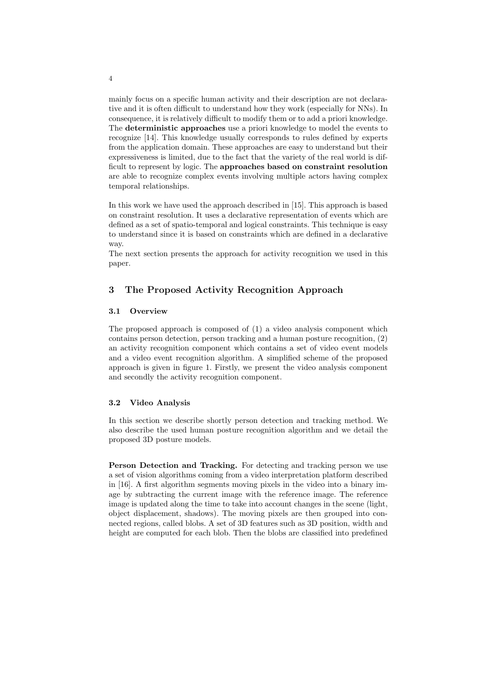mainly focus on a specific human activity and their description are not declarative and it is often difficult to understand how they work (especially for NNs). In consequence, it is relatively difficult to modify them or to add a priori knowledge. The deterministic approaches use a priori knowledge to model the events to recognize [14]. This knowledge usually corresponds to rules defined by experts from the application domain. These approaches are easy to understand but their expressiveness is limited, due to the fact that the variety of the real world is difficult to represent by logic. The approaches based on constraint resolution are able to recognize complex events involving multiple actors having complex temporal relationships.

In this work we have used the approach described in [15]. This approach is based on constraint resolution. It uses a declarative representation of events which are defined as a set of spatio-temporal and logical constraints. This technique is easy to understand since it is based on constraints which are defined in a declarative way.

The next section presents the approach for activity recognition we used in this paper.

# 3 The Proposed Activity Recognition Approach

#### 3.1 Overview

The proposed approach is composed of (1) a video analysis component which contains person detection, person tracking and a human posture recognition, (2) an activity recognition component which contains a set of video event models and a video event recognition algorithm. A simplified scheme of the proposed approach is given in figure 1. Firstly, we present the video analysis component and secondly the activity recognition component.

#### 3.2 Video Analysis

In this section we describe shortly person detection and tracking method. We also describe the used human posture recognition algorithm and we detail the proposed 3D posture models.

Person Detection and Tracking. For detecting and tracking person we use a set of vision algorithms coming from a video interpretation platform described in [16]. A first algorithm segments moving pixels in the video into a binary image by subtracting the current image with the reference image. The reference image is updated along the time to take into account changes in the scene (light, object displacement, shadows). The moving pixels are then grouped into connected regions, called blobs. A set of 3D features such as 3D position, width and height are computed for each blob. Then the blobs are classified into predefined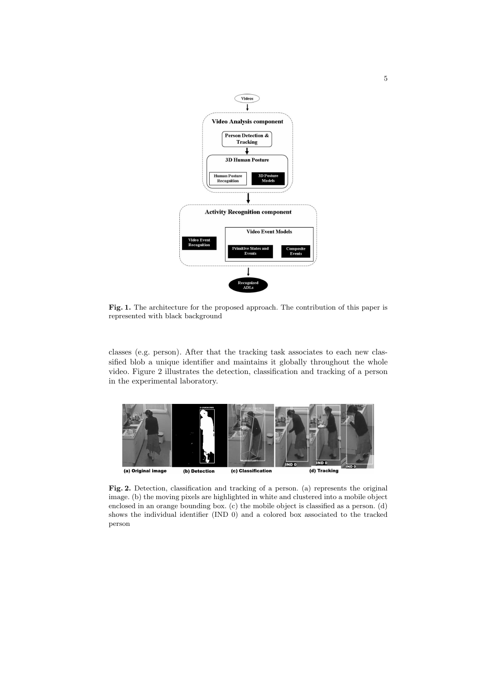

Fig. 1. The architecture for the proposed approach. The contribution of this paper is represented with black background

classes (e.g. person). After that the tracking task associates to each new classified blob a unique identifier and maintains it globally throughout the whole video. Figure 2 illustrates the detection, classification and tracking of a person in the experimental laboratory.



Fig. 2. Detection, classification and tracking of a person. (a) represents the original image. (b) the moving pixels are highlighted in white and clustered into a mobile object enclosed in an orange bounding box. (c) the mobile object is classified as a person. (d) shows the individual identifier (IND 0) and a colored box associated to the tracked person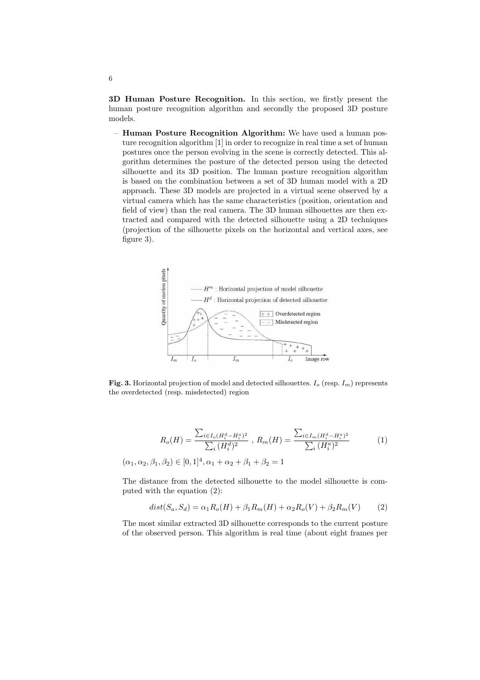3D Human Posture Recognition. In this section, we firstly present the human posture recognition algorithm and secondly the proposed 3D posture models.

– Human Posture Recognition Algorithm: We have used a human posture recognition algorithm [1] in order to recognize in real time a set of human postures once the person evolving in the scene is correctly detected. This algorithm determines the posture of the detected person using the detected silhouette and its 3D position. The human posture recognition algorithm is based on the combination between a set of 3D human model with a 2D approach. These 3D models are projected in a virtual scene observed by a virtual camera which has the same characteristics (position, orientation and field of view) than the real camera. The 3D human silhouettes are then extracted and compared with the detected silhouette using a 2D techniques (projection of the silhouette pixels on the horizontal and vertical axes, see figure 3).



**Fig. 3.** Horizontal projection of model and detected silhouettes.  $I_o$  (resp.  $I_m$ ) represents the overdetected (resp. misdetected) region

$$
R_o(H) = \frac{\sum_{i \in I_o(H_i^d - H_i^a)^2}}{\sum_i (H_i^d)^2}, \ R_m(H) = \frac{\sum_{i \in I_m(H_i^d - H_i^a)^2}}{\sum_i (H_i^a)^2}
$$
(1)  

$$
(\alpha_1, \alpha_2, \beta_1, \beta_2) \in [0, 1]^4, \alpha_1 + \alpha_2 + \beta_1 + \beta_2 = 1
$$

The distance from the detected silhouette to the model silhouette is computed with the equation (2):

$$
dist(S_a, S_d) = \alpha_1 R_o(H) + \beta_1 R_m(H) + \alpha_2 R_o(V) + \beta_2 R_m(V) \tag{2}
$$

The most similar extracted 3D silhouette corresponds to the current posture of the observed person. This algorithm is real time (about eight frames per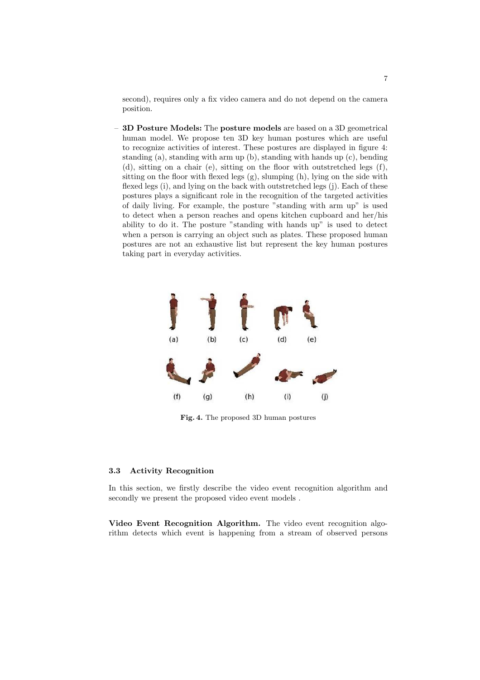second), requires only a fix video camera and do not depend on the camera position.

– 3D Posture Models: The posture models are based on a 3D geometrical human model. We propose ten 3D key human postures which are useful to recognize activities of interest. These postures are displayed in figure 4: standing (a), standing with arm up (b), standing with hands up (c), bending (d), sitting on a chair (e), sitting on the floor with outstretched legs (f), sitting on the floor with flexed legs  $(g)$ , slumping  $(h)$ , lying on the side with flexed legs (i), and lying on the back with outstretched legs (j). Each of these postures plays a significant role in the recognition of the targeted activities of daily living. For example, the posture "standing with arm up" is used to detect when a person reaches and opens kitchen cupboard and her/his ability to do it. The posture "standing with hands up" is used to detect when a person is carrying an object such as plates. These proposed human postures are not an exhaustive list but represent the key human postures taking part in everyday activities.



Fig. 4. The proposed 3D human postures

#### 3.3 Activity Recognition

In this section, we firstly describe the video event recognition algorithm and secondly we present the proposed video event models .

Video Event Recognition Algorithm. The video event recognition algorithm detects which event is happening from a stream of observed persons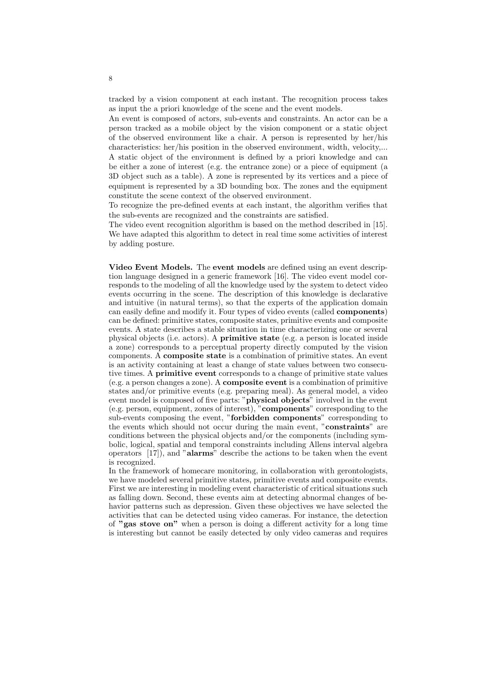tracked by a vision component at each instant. The recognition process takes as input the a priori knowledge of the scene and the event models.

An event is composed of actors, sub-events and constraints. An actor can be a person tracked as a mobile object by the vision component or a static object of the observed environment like a chair. A person is represented by her/his characteristics: her/his position in the observed environment, width, velocity,... A static object of the environment is defined by a priori knowledge and can be either a zone of interest (e.g. the entrance zone) or a piece of equipment (a 3D object such as a table). A zone is represented by its vertices and a piece of equipment is represented by a 3D bounding box. The zones and the equipment constitute the scene context of the observed environment.

To recognize the pre-defined events at each instant, the algorithm verifies that the sub-events are recognized and the constraints are satisfied.

The video event recognition algorithm is based on the method described in [15]. We have adapted this algorithm to detect in real time some activities of interest by adding posture.

Video Event Models. The event models are defined using an event description language designed in a generic framework [16]. The video event model corresponds to the modeling of all the knowledge used by the system to detect video events occurring in the scene. The description of this knowledge is declarative and intuitive (in natural terms), so that the experts of the application domain can easily define and modify it. Four types of video events (called components) can be defined: primitive states, composite states, primitive events and composite events. A state describes a stable situation in time characterizing one or several physical objects (i.e. actors). A primitive state (e.g. a person is located inside a zone) corresponds to a perceptual property directly computed by the vision components. A composite state is a combination of primitive states. An event is an activity containing at least a change of state values between two consecutive times. A primitive event corresponds to a change of primitive state values (e.g. a person changes a zone). A composite event is a combination of primitive states and/or primitive events (e.g. preparing meal). As general model, a video event model is composed of five parts: "**physical objects**" involved in the event (e.g. person, equipment, zones of interest), "components" corresponding to the sub-events composing the event, "forbidden components" corresponding to the events which should not occur during the main event, "constraints" are conditions between the physical objects and/or the components (including symbolic, logical, spatial and temporal constraints including Allens interval algebra operators [17]), and "alarms" describe the actions to be taken when the event is recognized.

In the framework of homecare monitoring, in collaboration with gerontologists, we have modeled several primitive states, primitive events and composite events. First we are interesting in modeling event characteristic of critical situations such as falling down. Second, these events aim at detecting abnormal changes of behavior patterns such as depression. Given these objectives we have selected the activities that can be detected using video cameras. For instance, the detection of "gas stove on" when a person is doing a different activity for a long time is interesting but cannot be easily detected by only video cameras and requires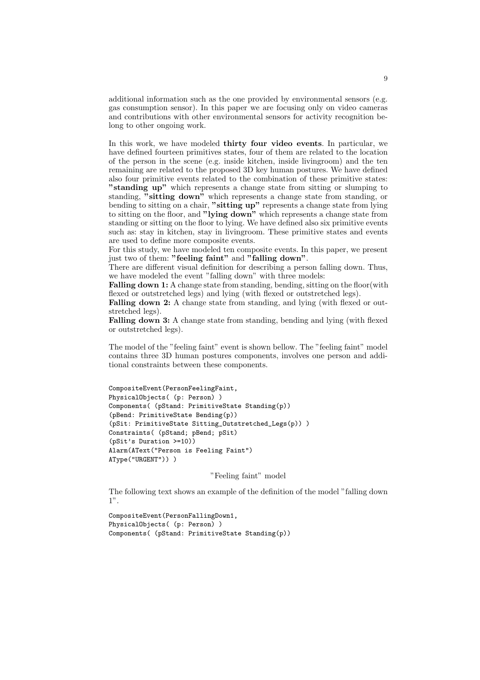additional information such as the one provided by environmental sensors (e.g. gas consumption sensor). In this paper we are focusing only on video cameras and contributions with other environmental sensors for activity recognition belong to other ongoing work.

In this work, we have modeled thirty four video events. In particular, we have defined fourteen primitives states, four of them are related to the location of the person in the scene (e.g. inside kitchen, inside livingroom) and the ten remaining are related to the proposed 3D key human postures. We have defined also four primitive events related to the combination of these primitive states: "standing up" which represents a change state from sitting or slumping to standing, "sitting down" which represents a change state from standing, or bending to sitting on a chair, "sitting up" represents a change state from lying to sitting on the floor, and "lying down" which represents a change state from standing or sitting on the floor to lying. We have defined also six primitive events such as: stay in kitchen, stay in livingroom. These primitive states and events are used to define more composite events.

For this study, we have modeled ten composite events. In this paper, we present just two of them: "feeling faint" and "falling down".

There are different visual definition for describing a person falling down. Thus, we have modeled the event "falling down" with three models:

Falling down 1: A change state from standing, bending, sitting on the floor(with flexed or outstretched legs) and lying (with flexed or outstretched legs).

Falling down 2: A change state from standing, and lying (with flexed or outstretched legs).

Falling down 3: A change state from standing, bending and lying (with flexed or outstretched legs).

The model of the "feeling faint" event is shown bellow. The "feeling faint" model contains three 3D human postures components, involves one person and additional constraints between these components.

```
CompositeEvent(PersonFeelingFaint,
PhysicalObjects( (p: Person) )
Components( (pStand: PrimitiveState Standing(p))
(pBend: PrimitiveState Bending(p))
(pSit: PrimitiveState Sitting_Outstretched_Legs(p)) )
Constraints( (pStand; pBend; pSit)
(pSit's Duration >=10))
Alarm(AText("Person is Feeling Faint")
AType("URGENT")) )
```
#### "Feeling faint" model

The following text shows an example of the definition of the model "falling down  $1"$ .

CompositeEvent(PersonFallingDown1, PhysicalObjects( (p: Person) ) Components( (pStand: PrimitiveState Standing(p))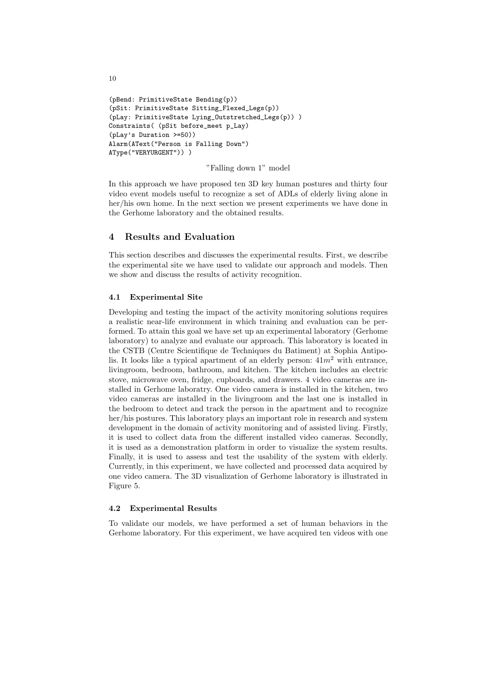```
(pBend: PrimitiveState Bending(p))
(pSit: PrimitiveState Sitting_Flexed_Legs(p))
(pLay: PrimitiveState Lying_Outstretched_Legs(p)) )
Constraints( (pSit before_meet p_Lay)
(pLay's Duration >=50))
Alarm(AText("Person is Falling Down")
AType("VERYURGENT")) )
```
"Falling down 1" model

In this approach we have proposed ten 3D key human postures and thirty four video event models useful to recognize a set of ADLs of elderly living alone in her/his own home. In the next section we present experiments we have done in the Gerhome laboratory and the obtained results.

# 4 Results and Evaluation

This section describes and discusses the experimental results. First, we describe the experimental site we have used to validate our approach and models. Then we show and discuss the results of activity recognition.

#### 4.1 Experimental Site

Developing and testing the impact of the activity monitoring solutions requires a realistic near-life environment in which training and evaluation can be performed. To attain this goal we have set up an experimental laboratory (Gerhome laboratory) to analyze and evaluate our approach. This laboratory is located in the CSTB (Centre Scientifique de Techniques du Batiment) at Sophia Antipolis. It looks like a typical apartment of an elderly person:  $41m^2$  with entrance, livingroom, bedroom, bathroom, and kitchen. The kitchen includes an electric stove, microwave oven, fridge, cupboards, and drawers. 4 video cameras are installed in Gerhome laboratry. One video camera is installed in the kitchen, two video cameras are installed in the livingroom and the last one is installed in the bedroom to detect and track the person in the apartment and to recognize her/his postures. This laboratory plays an important role in research and system development in the domain of activity monitoring and of assisted living. Firstly, it is used to collect data from the different installed video cameras. Secondly, it is used as a demonstration platform in order to visualize the system results. Finally, it is used to assess and test the usability of the system with elderly. Currently, in this experiment, we have collected and processed data acquired by one video camera. The 3D visualization of Gerhome laboratory is illustrated in Figure 5.

#### 4.2 Experimental Results

To validate our models, we have performed a set of human behaviors in the Gerhome laboratory. For this experiment, we have acquired ten videos with one

10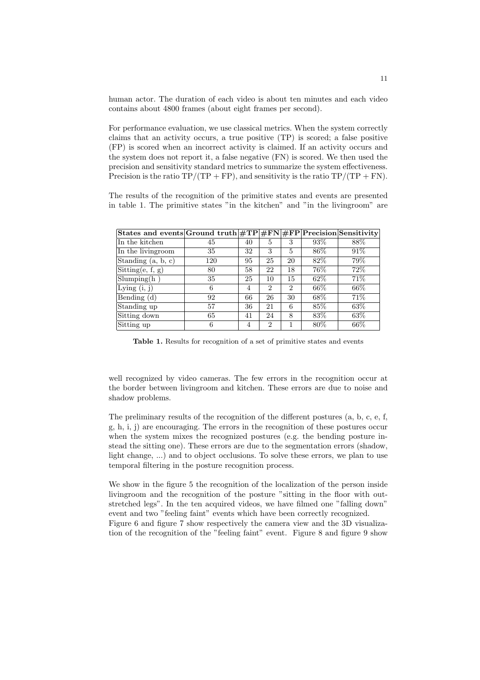human actor. The duration of each video is about ten minutes and each video contains about 4800 frames (about eight frames per second).

For performance evaluation, we use classical metrics. When the system correctly claims that an activity occurs, a true positive (TP) is scored; a false positive (FP) is scored when an incorrect activity is claimed. If an activity occurs and the system does not report it, a false negative (FN) is scored. We then used the precision and sensitivity standard metrics to summarize the system effectiveness. Precision is the ratio  $TP/(TP + FP)$ , and sensitivity is the ratio  $TP/(TP + FN)$ .

The results of the recognition of the primitive states and events are presented in table 1. The primitive states "in the kitchen" and "in the livingroom" are

| States and events Ground truth $\#TP\#FN\#FP$ Precision Sensitivity |     |                |                |                |        |      |
|---------------------------------------------------------------------|-----|----------------|----------------|----------------|--------|------|
| In the kitchen                                                      | 45  | 40             | 5              | 3              | 93%    | 88\% |
| In the livingroom                                                   | 35  | 32             | 3              | 5              | 86\%   | 91\% |
| Standing (a, b, c)                                                  | 120 | 95             | 25             | 20             | 82%    | 79%  |
| $\overline{\text{Sitting}}(e, f, g)$                                | 80  | 58             | 22             | 18             | $76\%$ | 72\% |
| $\overline{\mathrm{Slumping}}(h)$                                   | 35  | 25             | 10             | 15             | 62\%   | 71\% |
| Lying $(i, j)$                                                      | 6   | $\overline{4}$ | $\overline{2}$ | $\overline{2}$ | 66\%   | 66%  |
| Bending (d)                                                         | 92  | 66             | 26             | 30             | 68\%   | 71\% |
| Standing up                                                         | 57  | 36             | 21             | 6              | 85\%   | 63%  |
| Sitting down                                                        | 65  | 41             | 24             | 8              | 83\%   | 63%  |
| Sitting up                                                          | 6   | 4              | $\overline{2}$ |                | 80\%   | 66\% |

Table 1. Results for recognition of a set of primitive states and events

well recognized by video cameras. The few errors in the recognition occur at the border between livingroom and kitchen. These errors are due to noise and shadow problems.

The preliminary results of the recognition of the different postures (a, b, c, e, f, g, h, i, j) are encouraging. The errors in the recognition of these postures occur when the system mixes the recognized postures (e.g. the bending posture instead the sitting one). These errors are due to the segmentation errors (shadow, light change, ...) and to object occlusions. To solve these errors, we plan to use temporal filtering in the posture recognition process.

We show in the figure 5 the recognition of the localization of the person inside livingroom and the recognition of the posture "sitting in the floor with outstretched legs". In the ten acquired videos, we have filmed one "falling down" event and two "feeling faint" events which have been correctly recognized. Figure 6 and figure 7 show respectively the camera view and the 3D visualiza-

tion of the recognition of the "feeling faint" event. Figure 8 and figure 9 show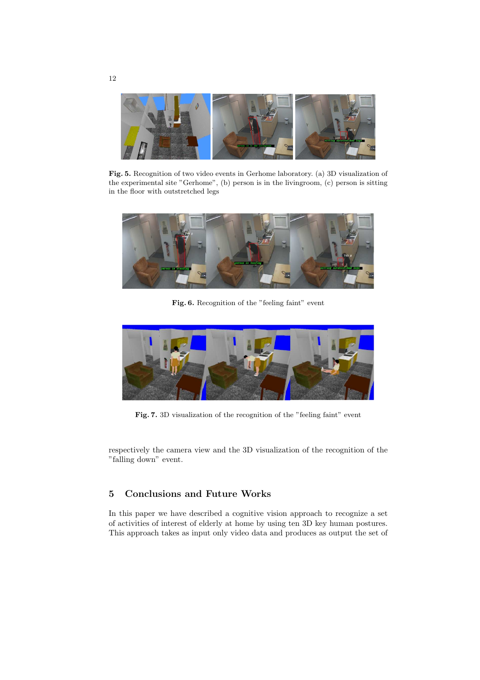

Fig. 5. Recognition of two video events in Gerhome laboratory. (a) 3D visualization of the experimental site "Gerhome", (b) person is in the livingroom, (c) person is sitting in the floor with outstretched legs



Fig. 6. Recognition of the "feeling faint" event



Fig. 7. 3D visualization of the recognition of the "feeling faint" event

respectively the camera view and the 3D visualization of the recognition of the "falling down" event.

# 5 Conclusions and Future Works

In this paper we have described a cognitive vision approach to recognize a set of activities of interest of elderly at home by using ten 3D key human postures. This approach takes as input only video data and produces as output the set of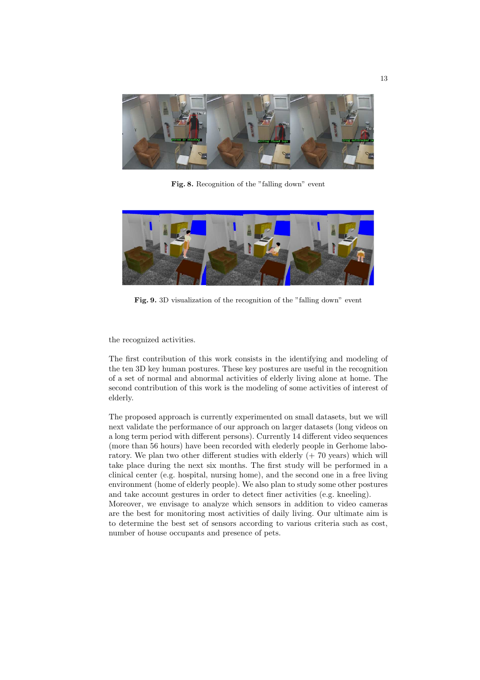

Fig. 8. Recognition of the "falling down" event



Fig. 9. 3D visualization of the recognition of the "falling down" event

the recognized activities.

The first contribution of this work consists in the identifying and modeling of the ten 3D key human postures. These key postures are useful in the recognition of a set of normal and abnormal activities of elderly living alone at home. The second contribution of this work is the modeling of some activities of interest of elderly.

The proposed approach is currently experimented on small datasets, but we will next validate the performance of our approach on larger datasets (long videos on a long term period with different persons). Currently 14 different video sequences (more than 56 hours) have been recorded with elederly people in Gerhome laboratory. We plan two other different studies with elderly  $(+ 70 \text{ years})$  which will take place during the next six months. The first study will be performed in a clinical center (e.g. hospital, nursing home), and the second one in a free living environment (home of elderly people). We also plan to study some other postures and take account gestures in order to detect finer activities (e.g. kneeling). Moreover, we envisage to analyze which sensors in addition to video cameras

are the best for monitoring most activities of daily living. Our ultimate aim is to determine the best set of sensors according to various criteria such as cost, number of house occupants and presence of pets.